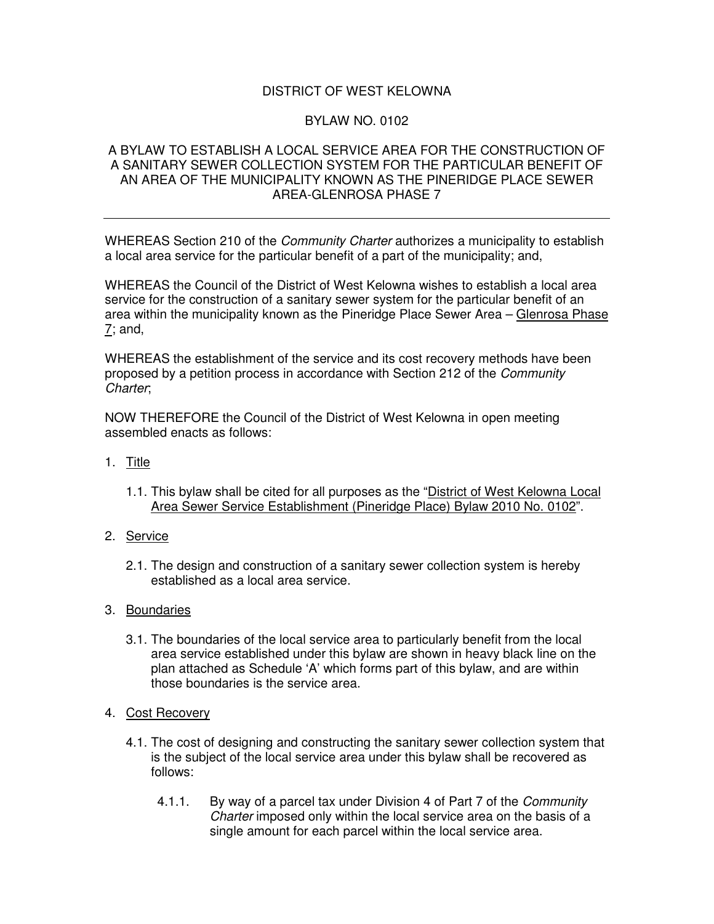## DISTRICT OF WEST KELOWNA

## BYLAW NO. 0102

## A BYLAW TO ESTABLISH A LOCAL SERVICE AREA FOR THE CONSTRUCTION OF A SANITARY SEWER COLLECTION SYSTEM FOR THE PARTICULAR BENEFIT OF AN AREA OF THE MUNICIPALITY KNOWN AS THE PINERIDGE PLACE SEWER AREA-GLENROSA PHASE 7

WHEREAS Section 210 of the *Community Charter* authorizes a municipality to establish a local area service for the particular benefit of a part of the municipality; and,

WHEREAS the Council of the District of West Kelowna wishes to establish a local area service for the construction of a sanitary sewer system for the particular benefit of an area within the municipality known as the Pineridge Place Sewer Area – Glenrosa Phase 7; and,

WHEREAS the establishment of the service and its cost recovery methods have been proposed by a petition process in accordance with Section 212 of the *Community Charter*;

NOW THEREFORE the Council of the District of West Kelowna in open meeting assembled enacts as follows:

- 1. Title
	- 1.1. This bylaw shall be cited for all purposes as the "District of West Kelowna Local Area Sewer Service Establishment (Pineridge Place) Bylaw 2010 No. 0102".
- 2. Service
	- 2.1. The design and construction of a sanitary sewer collection system is hereby established as a local area service.
- 3. Boundaries
	- 3.1. The boundaries of the local service area to particularly benefit from the local area service established under this bylaw are shown in heavy black line on the plan attached as Schedule 'A' which forms part of this bylaw, and are within those boundaries is the service area.
- 4. Cost Recovery
	- 4.1. The cost of designing and constructing the sanitary sewer collection system that is the subject of the local service area under this bylaw shall be recovered as follows:
		- 4.1.1. By way of a parcel tax under Division 4 of Part 7 of the *Community Charter* imposed only within the local service area on the basis of a single amount for each parcel within the local service area.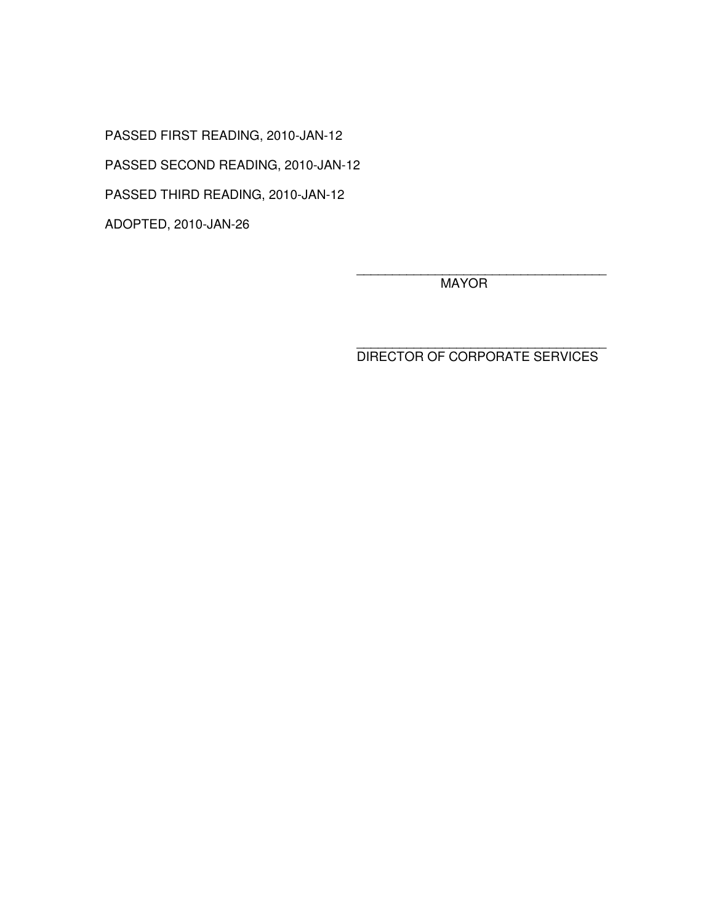PASSED FIRST READING, 2010-JAN-12 PASSED SECOND READING, 2010-JAN-12 PASSED THIRD READING, 2010-JAN-12 ADOPTED, 2010-JAN-26

> \_\_\_\_\_\_\_\_\_\_\_\_\_\_\_\_\_\_\_\_\_\_\_\_\_\_\_\_\_\_\_\_\_\_\_ **MAYOR**

> \_\_\_\_\_\_\_\_\_\_\_\_\_\_\_\_\_\_\_\_\_\_\_\_\_\_\_\_\_\_\_\_\_\_\_ DIRECTOR OF CORPORATE SERVICES